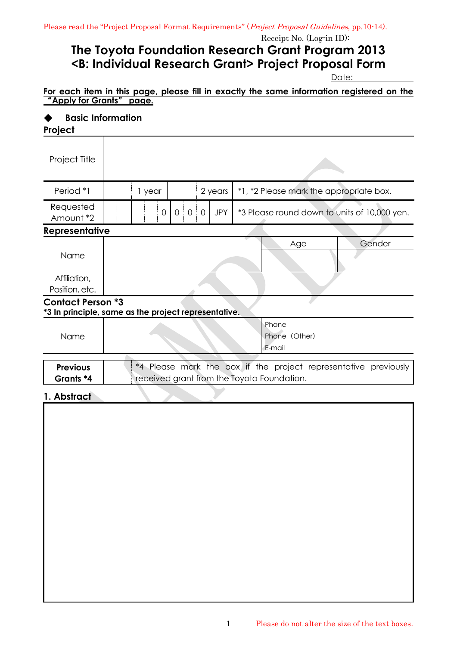## **The Toyota Foundation Research Grant Program 2013 <B: Individual Research Grant> Project Proposal Form**

Date:

#### **For each item in this page, please fill in exactly the same information registered on the**  "**Apply for Grants**" **page.**

# ◆ **Basic Information**

| Project                                                                          |                                                                                                               |        |   |       |  |            |  |                                              |        |  |
|----------------------------------------------------------------------------------|---------------------------------------------------------------------------------------------------------------|--------|---|-------|--|------------|--|----------------------------------------------|--------|--|
| Project Title                                                                    |                                                                                                               |        |   |       |  |            |  |                                              |        |  |
| Period *1                                                                        |                                                                                                               | 1 year |   |       |  | 2 years    |  | *1, *2 Please mark the appropriate box.      |        |  |
| Requested<br>Amount *2                                                           |                                                                                                               |        | 0 | 0 0 0 |  | <b>JPY</b> |  | *3 Please round down to units of 10,000 yen. |        |  |
| <b>Representative</b>                                                            |                                                                                                               |        |   |       |  |            |  |                                              |        |  |
|                                                                                  |                                                                                                               |        |   |       |  |            |  | Age                                          | Gender |  |
| Name                                                                             |                                                                                                               |        |   |       |  |            |  |                                              |        |  |
| Affiliation,                                                                     |                                                                                                               |        |   |       |  |            |  |                                              |        |  |
| Position, etc.                                                                   |                                                                                                               |        |   |       |  |            |  |                                              |        |  |
| <b>Contact Person *3</b><br>*3 In principle, same as the project representative. |                                                                                                               |        |   |       |  |            |  |                                              |        |  |
|                                                                                  |                                                                                                               |        |   |       |  |            |  | Phone                                        |        |  |
| Name                                                                             |                                                                                                               |        |   |       |  |            |  | Phone (Other)                                |        |  |
|                                                                                  | E-mail                                                                                                        |        |   |       |  |            |  |                                              |        |  |
| <b>Previous</b>                                                                  |                                                                                                               |        |   |       |  |            |  |                                              |        |  |
| Grants *4                                                                        | *4 Please mark the box if the project representative previously<br>received grant from the Toyota Foundation. |        |   |       |  |            |  |                                              |        |  |
|                                                                                  |                                                                                                               |        |   |       |  |            |  |                                              |        |  |
| 1. Abstract                                                                      |                                                                                                               |        |   |       |  |            |  |                                              |        |  |
|                                                                                  |                                                                                                               |        |   |       |  |            |  |                                              |        |  |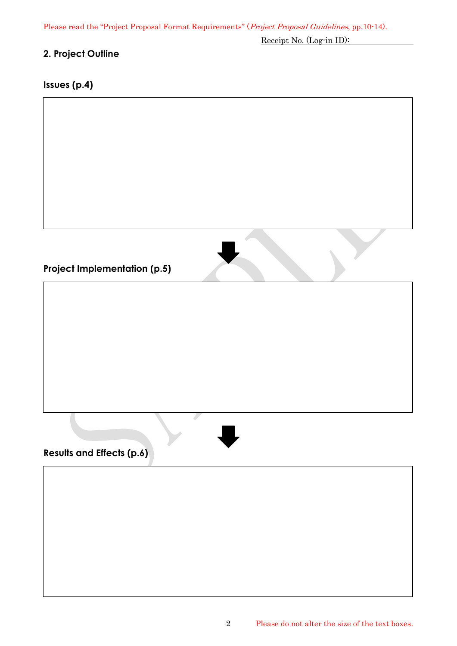Please read the "Project Proposal Format Requirements" (Project Proposal Guidelines, pp.10-14).

Receipt No. (Log-in ID):

## **2. Project Outline**

## **Issues (p.4)**

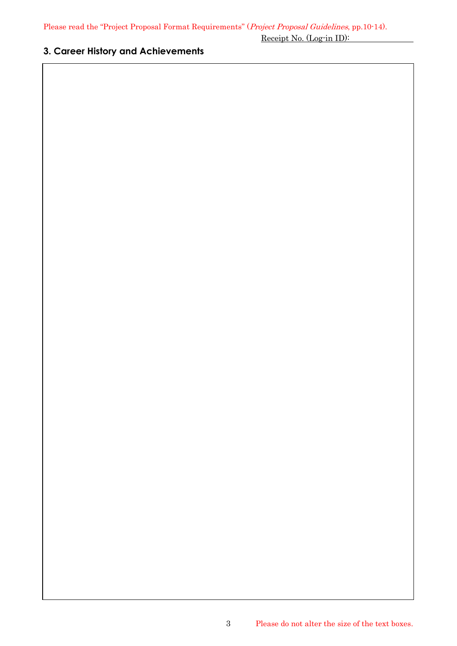#### **3. Career History and Achievements**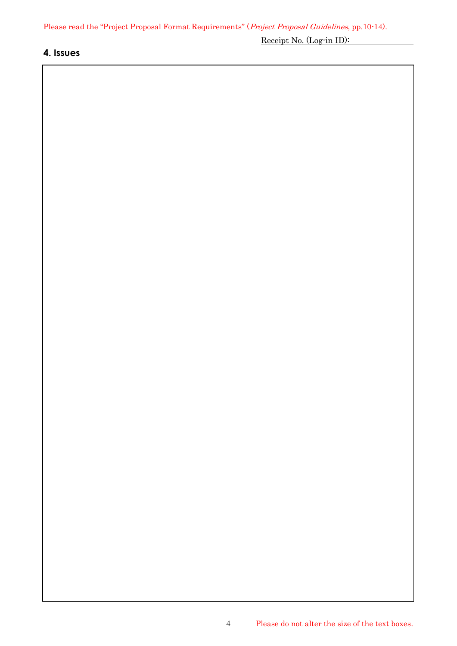#### **4. Issues**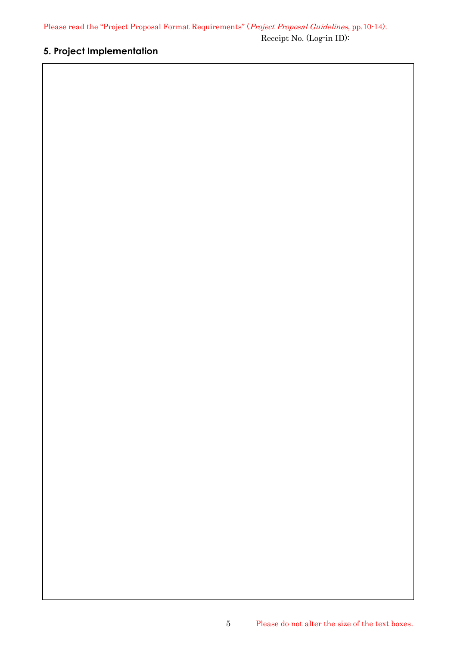## **5. Project Implementation**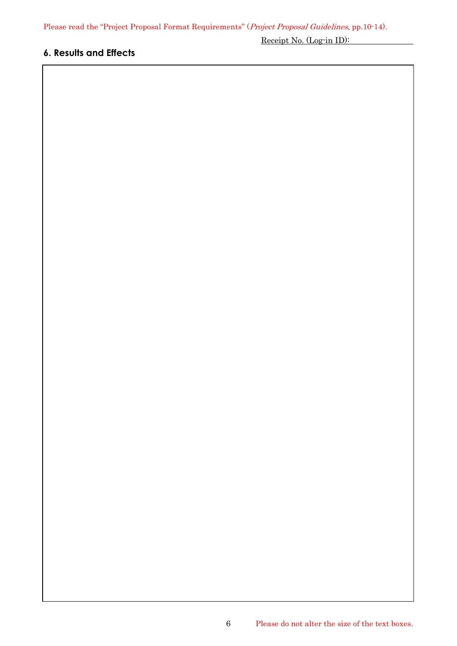## **6. Results and Effects**

Receipt No. (Log-in ID):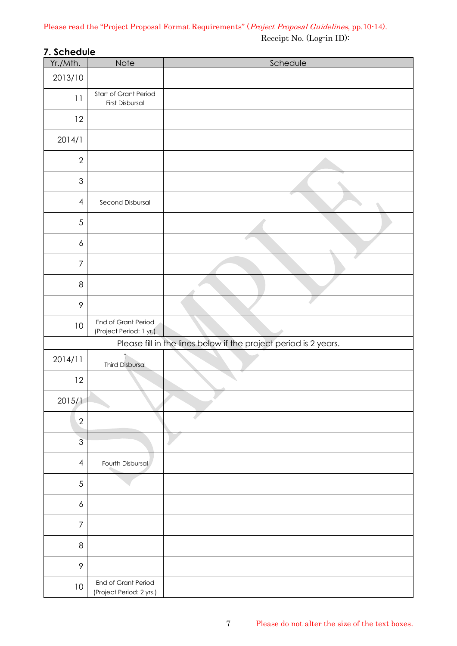## **7. Schedule**

| Yr./Mth.         | Note                                            | Schedule                                                         |
|------------------|-------------------------------------------------|------------------------------------------------------------------|
| 2013/10          |                                                 |                                                                  |
| 11               | Start of Grant Period<br>First Disbursal        |                                                                  |
| 12               |                                                 |                                                                  |
| 2014/1           |                                                 |                                                                  |
| $\overline{2}$   |                                                 |                                                                  |
| $\mathfrak 3$    |                                                 |                                                                  |
| $\overline{4}$   | Second Disbursal                                |                                                                  |
| 5                |                                                 |                                                                  |
| $\epsilon$       |                                                 |                                                                  |
| $\overline{7}$   |                                                 |                                                                  |
| $\,8\,$          |                                                 |                                                                  |
| 9                |                                                 |                                                                  |
| 10               | End of Grant Period<br>(Project Period: 1 yr.)  |                                                                  |
|                  |                                                 | Please fill in the lines below if the project period is 2 years. |
| 2014/11          | $\uparrow$<br><b>Third Disbursal</b>            |                                                                  |
| 12               |                                                 |                                                                  |
| 2015/1           |                                                 |                                                                  |
| $\sqrt{2}$       |                                                 |                                                                  |
| $\overline{3}$   |                                                 |                                                                  |
| $\overline{4}$   | Fourth Disbursal                                |                                                                  |
| $\sqrt{5}$       |                                                 |                                                                  |
| $\boldsymbol{6}$ |                                                 |                                                                  |
| $\overline{7}$   |                                                 |                                                                  |
| $\,8\,$          |                                                 |                                                                  |
| $\mathcal{P}$    |                                                 |                                                                  |
| 10               | End of Grant Period<br>(Project Period: 2 yrs.) |                                                                  |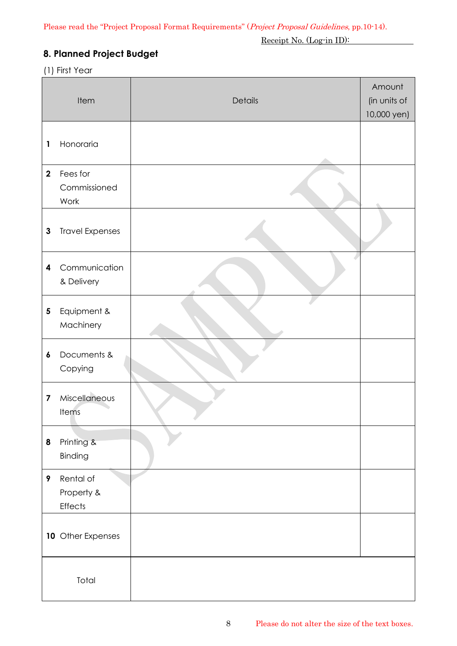## **8. Planned Project Budget**

(1) First Year

|                         |                              |         | Amount       |
|-------------------------|------------------------------|---------|--------------|
| Item                    |                              | Details | (in units of |
|                         |                              |         | 10,000 yen)  |
|                         | Honoraria                    |         |              |
| 1                       |                              |         |              |
| $\overline{2}$          | Fees for                     |         |              |
|                         | Commissioned                 |         |              |
|                         | Work                         |         |              |
|                         |                              |         |              |
| $\mathbf{3}$            | <b>Travel Expenses</b>       |         |              |
|                         |                              |         |              |
| 4                       | Communication                |         |              |
|                         | & Delivery                   |         |              |
|                         |                              |         |              |
| 5                       | Equipment &<br>Machinery     |         |              |
|                         |                              |         |              |
| 6                       | Documents &                  |         |              |
|                         | Copying                      |         |              |
|                         |                              |         |              |
| $\overline{\mathbf{z}}$ | Miscellaneous                |         |              |
|                         | Items                        |         |              |
| 8                       |                              |         |              |
|                         | Printing &<br>Binding        |         |              |
|                         |                              |         |              |
| 9                       | Rental of                    |         |              |
|                         | Property &<br><b>Effects</b> |         |              |
|                         |                              |         |              |
|                         | 10 Other Expenses            |         |              |
|                         |                              |         |              |
|                         |                              |         |              |
|                         | Total                        |         |              |
|                         |                              |         |              |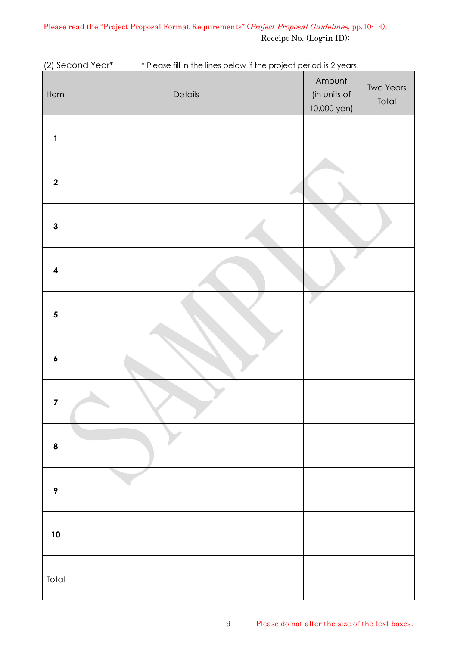| Item                    | Details | Amount<br>(in units of<br>10,000 yen) | <b>Two Years</b><br>Total |
|-------------------------|---------|---------------------------------------|---------------------------|
| $\mathbf{1}$            |         |                                       |                           |
| $\boldsymbol{2}$        |         |                                       |                           |
| $\mathbf{3}$            |         |                                       |                           |
| $\overline{\mathbf{4}}$ |         |                                       |                           |
| $\overline{\mathbf{5}}$ |         |                                       |                           |
| $\pmb{6}$               |         |                                       |                           |
| $\overline{\mathbf{z}}$ | ◆       |                                       |                           |
| $\pmb{8}$               |         |                                       |                           |
| $\pmb{9}$               |         |                                       |                           |
| 10                      |         |                                       |                           |
| Total                   |         |                                       |                           |

(2) Second Year\* \* Please fill in the lines below if the project period is 2 years.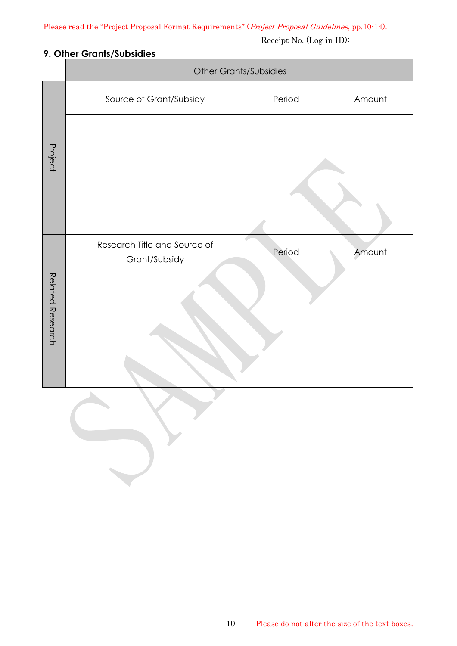### **9. Other Grants/Subsidies**

|                  | <b>Other Grants/Subsidies</b>                 |        |        |  |  |  |
|------------------|-----------------------------------------------|--------|--------|--|--|--|
|                  | Source of Grant/Subsidy                       | Period | Amount |  |  |  |
| Project          |                                               |        |        |  |  |  |
|                  | Research Title and Source of<br>Grant/Subsidy | Period | Amount |  |  |  |
| Related Research |                                               |        |        |  |  |  |

 $\overline{\phantom{a}}$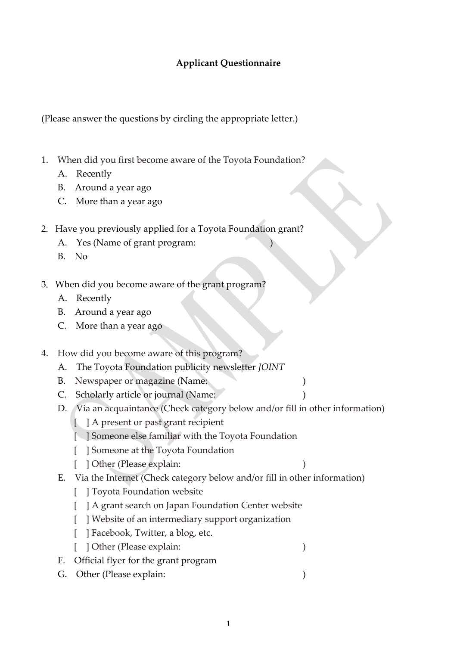## **Applicant Questionnaire**

(Please answer the questions by circling the appropriate letter.)

- 1. When did you first become aware of the Toyota Foundation?
	- A. Recently
	- B. Around a year ago
	- C. More than a year ago
- 2. Have you previously applied for a Toyota Foundation grant?
	- A. Yes (Name of grant program:
	- B. No
- 3.When did you become aware of the grant program?
	- A. Recently
	- B. Around a year ago
	- C. More than a year ago
- 4. How did you become aware of this program?
	- A. The Toyota Foundation publicity newsletter *JOINT*
	- B. Newspaper or magazine (Name: )
	- C. Scholarly article or journal (Name:
	- D. Via an acquaintance (Check category below and/or fill in other information)
		- [ ] A present or past grant recipient
		- [ ] Someone else familiar with the Toyota Foundation
		- [ ] Someone at the Toyota Foundation
		- [ ] Other (Please explain: )
			-
	- E. Via the Internet (Check category below and/or fill in other information)
		- [ ] Toyota Foundation website
		- [ ] A grant search on Japan Foundation Center website
		- [ ] Website of an intermediary support organization
		- [ ] Facebook, Twitter, a blog, etc.
		- [ ] Other (Please explain: )
	- F. Official flyer for the grant program
	- G. Other (Please explain: )